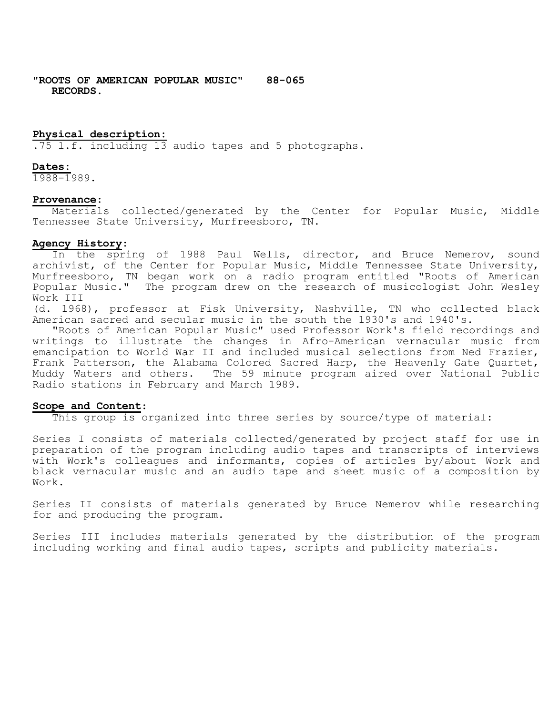**"ROOTS OF AMERICAN POPULAR MUSIC" 88-065 RECORDS.**

### **Physical description:**

.75 l.f. including 13 audio tapes and 5 photographs.

#### **Dates:**

1988-1989.

#### **Provenance**:

Materials collected/generated by the Center for Popular Music, Middle Tennessee State University, Murfreesboro, TN.

#### **Agency History**:

In the spring of 1988 Paul Wells, director, and Bruce Nemerov, sound archivist, of the Center for Popular Music, Middle Tennessee State University, Murfreesboro, TN began work on a radio program entitled "Roots of American Popular Music." The program drew on the research of musicologist John Wesley Work III

(d. 1968), professor at Fisk University, Nashville, TN who collected black American sacred and secular music in the south the 1930's and 1940's.

"Roots of American Popular Music" used Professor Work's field recordings and writings to illustrate the changes in Afro-American vernacular music from emancipation to World War II and included musical selections from Ned Frazier, Frank Patterson, the Alabama Colored Sacred Harp, the Heavenly Gate Quartet, Muddy Waters and others. The 59 minute program aired over National Public Radio stations in February and March 1989.

#### **Scope and Content**:

This group is organized into three series by source/type of material:

Series I consists of materials collected/generated by project staff for use in preparation of the program including audio tapes and transcripts of interviews with Work's colleagues and informants, copies of articles by/about Work and black vernacular music and an audio tape and sheet music of a composition by Work.

Series II consists of materials generated by Bruce Nemerov while researching for and producing the program.

Series III includes materials generated by the distribution of the program including working and final audio tapes, scripts and publicity materials.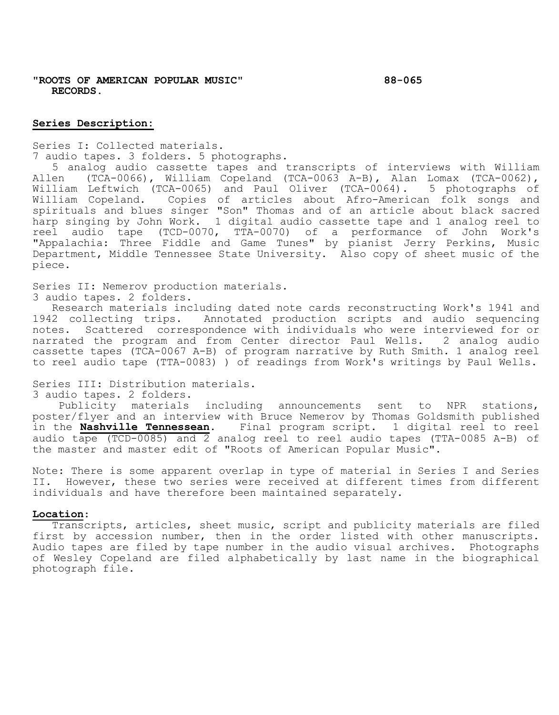**"ROOTS OF AMERICAN POPULAR MUSIC" 88-065 RECORDS.**

### **Series Description:**

Series I: Collected materials. 7 audio tapes. 3 folders. 5 photographs.

5 analog audio cassette tapes and transcripts of interviews with William<br>Allen (TCA-0066), William Copeland (TCA-0063 A-B), Alan Lomax (TCA-0062), (TCA-0066), William Copeland (TCA-0063 A-B), Alan Lomax (TCA-0062), William Leftwich (TCA-0065) and Paul Oliver (TCA-0064). 5 photographs of William Copeland. Copies of articles about Afro-American folk songs and spirituals and blues singer "Son" Thomas and of an article about black sacred harp singing by John Work. 1 digital audio cassette tape and 1 analog reel to reel audio tape (TCD-0070, TTA-0070) of a performance of John Work's "Appalachia: Three Fiddle and Game Tunes" by pianist Jerry Perkins, Music Department, Middle Tennessee State University. Also copy of sheet music of the piece.

Series II: Nemerov production materials.

3 audio tapes. 2 folders.

Research materials including dated note cards reconstructing Work's 1941 and 1942 collecting trips. Annotated production scripts and audio sequencing notes. Scattered correspondence with individuals who were interviewed for or narrated the program and from Center director Paul Wells. 2 analog audio cassette tapes (TCA-0067 A-B) of program narrative by Ruth Smith. 1 analog reel to reel audio tape (TTA-0083) ) of readings from Work's writings by Paul Wells.

Series III: Distribution materials.

3 audio tapes. 2 folders.

Publicity materials including announcements sent to NPR stations, poster/flyer and an interview with Bruce Nemerov by Thomas Goldsmith published in the **Nashville Tennessean**. Final program script. 1 digital reel to reel audio tape (TCD-0085) and 2 analog reel to reel audio tapes (TTA-0085 A-B) of the master and master edit of "Roots of American Popular Music".

Note: There is some apparent overlap in type of material in Series I and Series II. However, these two series were received at different times from different individuals and have therefore been maintained separately.

## **Location**:

Transcripts, articles, sheet music, script and publicity materials are filed first by accession number, then in the order listed with other manuscripts. Audio tapes are filed by tape number in the audio visual archives. Photographs of Wesley Copeland are filed alphabetically by last name in the biographical photograph file.